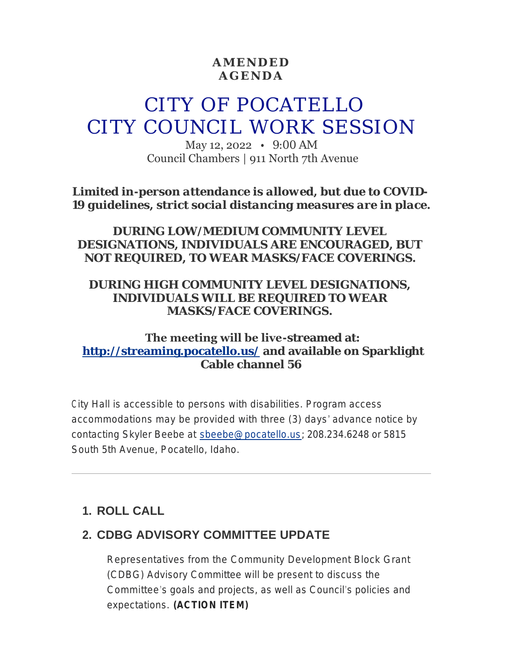### **AMENDED AGENDA**

# CITY OF POCATELLO CITY COUNCIL WORK SESSION

May 12, 2022 • 9:00 AM Council Chambers | 911 North 7th Avenue

*Limited in-person attendance is allowed, but due to COVID-19 guidelines, strict social distancing measures are in place.*

### *DURING LOW/MEDIUM COMMUNITY LEVEL DESIGNATIONS, INDIVIDUALS ARE ENCOURAGED, BUT NOT REQUIRED, TO WEAR MASKS/FACE COVERINGS.*

### *DURING HIGH COMMUNITY LEVEL DESIGNATIONS, INDIVIDUALS WILL BE REQUIRED TO WEAR MASKS/FACE COVERINGS.*

### **The meeting will be live-streamed at: <http://streaming.pocatello.us/> and available on Sparklight Cable channel 56**

City Hall is accessible to persons with disabilities. Program access accommodations may be provided with three (3) days' advance notice by contacting Skyler Beebe at [sbeebe@pocatello.us](mailto:sbeebe@pocatello.us); 208.234.6248 or 5815 South 5th Avenue, Pocatello, Idaho.

# **ROLL CALL 1.**

## **CDBG ADVISORY COMMITTEE UPDATE 2.**

Representatives from the Community Development Block Grant (CDBG) Advisory Committee will be present to discuss the Committee's goals and projects, as well as Council's policies and expectations. **(ACTION ITEM)**